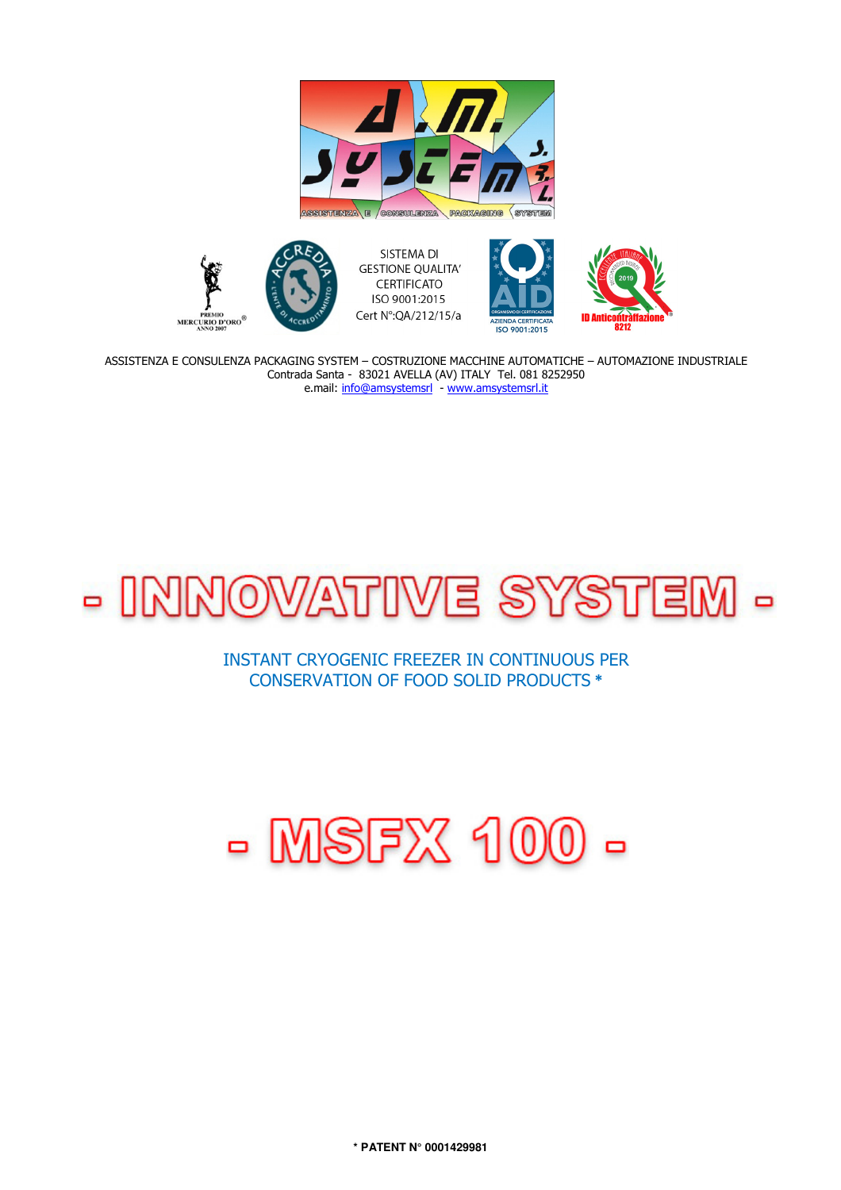



SISTEMA DI **GESTIONE QUALITA' CERTIFICATO** ISO 9001:2015 Cert N°: QA/212/15/a





ASSISTENZA E CONSULENZA PACKAGING SYSTEM – COSTRUZIONE MACCHINE AUTOMATICHE – AUTOMAZIONE INDUSTRIALE Contrada Santa - 83021 AVELLA (AV) ITALY Tel. 081 8252950 e.mail: info@amsystemsrl - www.amsystemsrl.it

**ID Anti** 

**ISO 9001:2015** 

8212



INSTANT CRYOGENIC FREEZER IN CONTINUOUS PER CONSERVATION OF FOOD SOLID PRODUCTS **\*** 

## $-$  MSFX  $100-$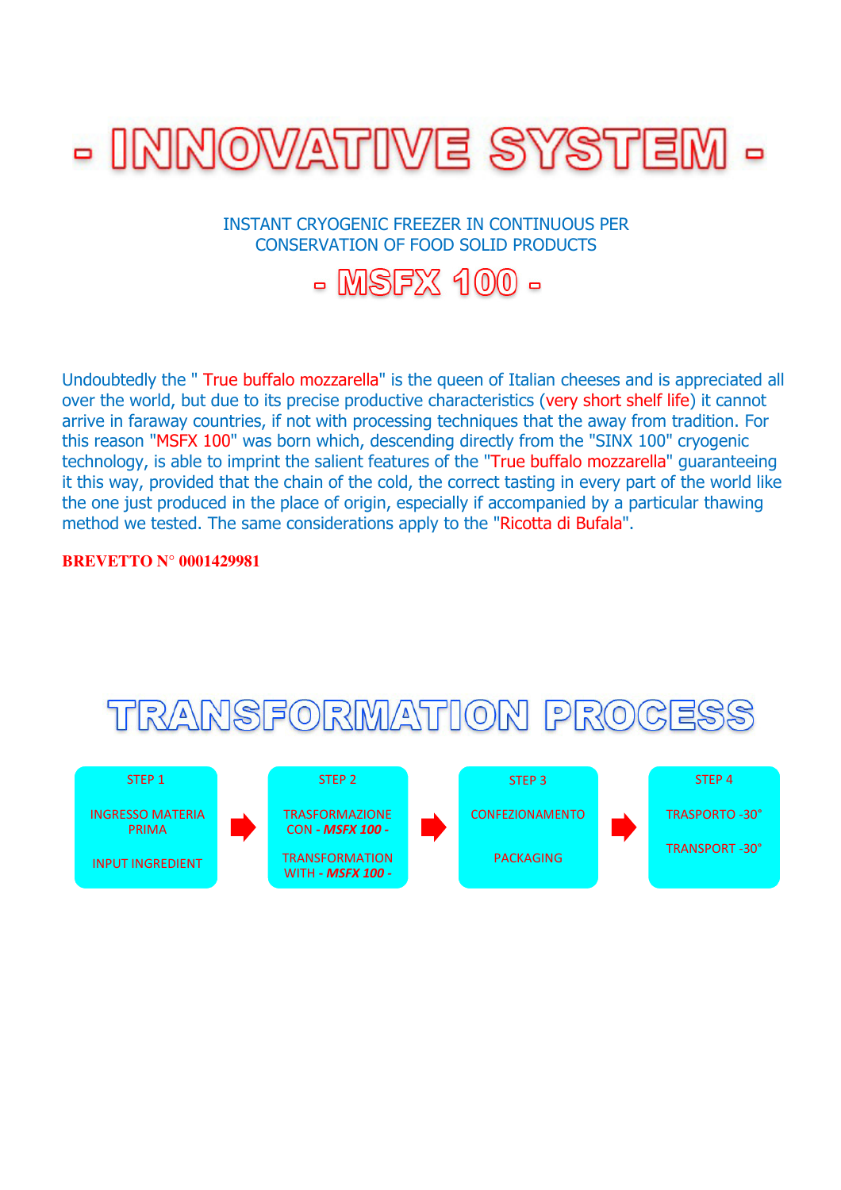

INSTANT CRYOGENIC FREEZER IN CONTINUOUS PER CONSERVATION OF FOOD SOLID PRODUCTS

 $-$  MSFX  $100-$ 

Undoubtedly the " True buffalo mozzarella" is the queen of Italian cheeses and is appreciated all over the world, but due to its precise productive characteristics (very short shelf life) it cannot arrive in faraway countries, if not with processing techniques that the away from tradition. For this reason "MSFX 100" was born which, descending directly from the "SINX 100" cryogenic technology, is able to imprint the salient features of the "True buffalo mozzarella" guaranteeing it this way, provided that the chain of the cold, the correct tasting in every part of the world like the one just produced in the place of origin, especially if accompanied by a particular thawing method we tested. The same considerations apply to the "Ricotta di Bufala".

## **BREVETTO N° 0001429981**